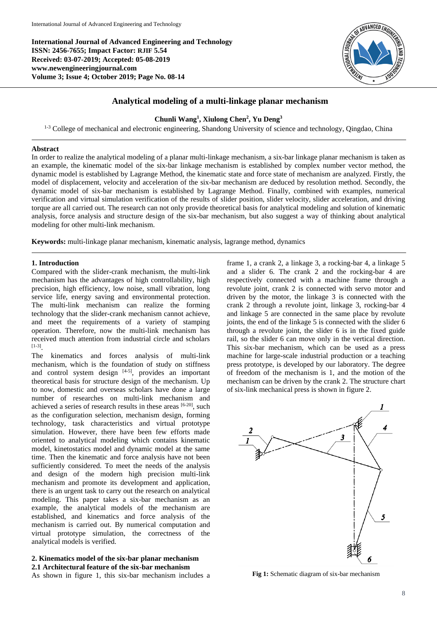**International Journal of Advanced Engineering and Technology ISSN: 2456-7655; Impact Factor: RJIF 5.54 Received: 03-07-2019; Accepted: 05-08-2019 www.newengineeringjournal.com Volume 3; Issue 4; October 2019; Page No. 08-14**



# **Analytical modeling of a multi-linkage planar mechanism**

### **Chunli Wang<sup>1</sup> , Xiulong Chen<sup>2</sup> , Yu Deng<sup>3</sup>**

<sup>1-3</sup> College of mechanical and electronic engineering, Shandong University of science and technology, Qingdao, China

### **Abstract**

In order to realize the analytical modeling of a planar multi-linkage mechanism, a six-bar linkage planar mechanism is taken as an example, the kinematic model of the six-bar linkage mechanism is established by complex number vector method, the dynamic model is established by Lagrange Method, the kinematic state and force state of mechanism are analyzed. Firstly, the model of displacement, velocity and acceleration of the six-bar mechanism are deduced by resolution method. Secondly, the dynamic model of six-bar mechanism is established by Lagrange Method. Finally, combined with examples, numerical verification and virtual simulation verification of the results of slider position, slider velocity, slider acceleration, and driving torque are all carried out. The research can not only provide theoretical basis for analytical modeling and solution of kinematic analysis, force analysis and structure design of the six-bar mechanism, but also suggest a way of thinking about analytical modeling for other multi-link mechanism.

**Keywords:** multi-linkage planar mechanism, kinematic analysis, lagrange method, dynamics

### **1. Introduction**

Compared with the slider-crank mechanism, the multi-link mechanism has the advantages of high controllability, high precision, high efficiency, low noise, small vibration, long service life, energy saving and environmental protection. The multi-link mechanism can realize the forming technology that the slider-crank mechanism cannot achieve, and meet the requirements of a variety of stamping operation. Therefore, now the multi-link mechanism has received much attention from industrial circle and scholars [1-3] .

The kinematics and forces analysis of multi-link mechanism, which is the foundation of study on stiffness and control system design [4-5], provides an important theoretical basis for structure design of the mechanism. Up to now, domestic and overseas scholars have done a large number of researches on multi-link mechanism and achieved a series of research results in these areas [6-20], such as the configuration selection, mechanism design, forming technology, task characteristics and virtual prototype simulation. However, there have been few efforts made oriented to analytical modeling which contains kinematic model, kinetostatics model and dynamic model at the same time. Then the kinematic and force analysis have not been sufficiently considered. To meet the needs of the analysis and design of the modern high precision multi-link mechanism and promote its development and application, there is an urgent task to carry out the research on analytical modeling. This paper takes a six-bar mechanism as an example, the analytical models of the mechanism are established, and kinematics and force analysis of the mechanism is carried out. By numerical computation and virtual prototype simulation, the correctness of the analytical models is verified.

## **2. Kinematics model of the six-bar planar mechanism 2.1 Architectural feature of the six-bar mechanism**

As shown in figure 1, this six-bar mechanism includes a

frame 1, a crank 2, a linkage 3, a rocking-bar 4, a linkage 5 and a slider 6. The crank 2 and the rocking-bar 4 are respectively connected with a machine frame through a revolute joint, crank 2 is connected with servo motor and driven by the motor, the linkage 3 is connected with the crank 2 through a revolute joint, linkage 3, rocking-bar 4 and linkage 5 are connected in the same place by revolute joints, the end of the linkage 5 is connected with the slider 6 through a revolute joint, the slider 6 is in the fixed guide rail, so the slider 6 can move only in the vertical direction. This six-bar mechanism, which can be used as a press machine for large-scale industrial production or a teaching press prototype, is developed by our laboratory. The degree of freedom of the mechanism is 1, and the motion of the mechanism can be driven by the crank 2. The structure chart of six-link mechanical press is shown in figure 2.



**Fig 1:** Schematic diagram of six-bar mechanism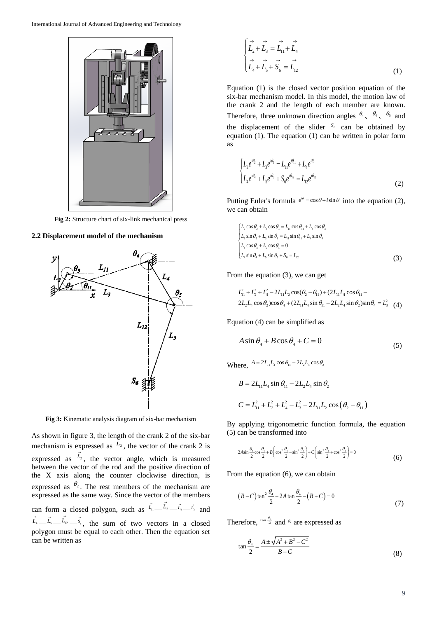

**Fig 2:** Structure chart of six-link mechanical press

### **2.2 Displacement model of the mechanism**



**Fig 3:** Kinematic analysis diagram of six-bar mechanism

As shown in figure 3, the length of the crank 2 of the six-bar mechanism is expressed as  $L_2$ , the vector of the crank 2 is expressed as  $\vec{L}_2$ , the vector angle, which is measured between the vector of the rod and the positive direction of the X axis along the counter clockwise direction, is expressed as  $\theta_2$ . The rest members of the mechanism are expressed as the same way. Since the vector of the members can form a closed polygon, such as  $\vec{L}_1 = \vec{L}_2 = \vec{L}_3 = \vec{L}_3$  and  $\vec{L}_4 \equiv \vec{L}_5 \equiv \vec{L}_12 \equiv \vec{s}_s$ , the sum of two vectors in a closed polygon must be equal to each other. Then the equation set can be written as

$$
\begin{cases}\n\stackrel{\rightarrow}{L_2} + \stackrel{\rightarrow}{L_3} = \stackrel{\rightarrow}{L_1} + \stackrel{\rightarrow}{L_4} \\
\stackrel{\rightarrow}{L_4} + \stackrel{\rightarrow}{L_5} + \stackrel{\rightarrow}{S_6} = \stackrel{\rightarrow}{L_1} \\
\end{cases}
$$
\n(1)

Equation (1) is the closed vector position equation of the six-bar mechanism model. In this model, the motion law of the crank 2 and the length of each member are known. Therefore, three unknown direction angles  $\theta_3$ ,  $\theta_4$ ,  $\theta_5$  and the displacement of the slider  $S_6$  can be obtained by equation (1). The equation (1) can be written in polar form as

$$
\begin{cases}\nL_2 e^{i\theta_2} + L_3 e^{i\theta_3} = L_{11} e^{i\theta_{11}} + L_4 e^{i\theta_4} \\
L_4 e^{i\theta_4} + L_5 e^{i\theta_5} + S_6 e^{i\theta_{12}} = L_{12} e^{i\theta_{12}}\n\end{cases} \tag{2}
$$

Putting Euler's formula  $e^{i\theta} = \cos \theta + i \sin \theta$  into the equation (2), we can obtain

$$
\begin{cases}\nL_2 \cos \theta_2 + L_3 \cos \theta_3 = L_{11} \cos \theta_{11} + L_4 \cos \theta_4 \\
L_2 \sin \theta_2 + L_3 \sin \theta_3 = L_{11} \sin \theta_{11} + L_4 \sin \theta_4 \\
L_4 \cos \theta_4 + L_5 \cos \theta_5 = 0 \\
L_4 \sin \theta_4 + L_5 \sin \theta_5 + S_6 = L_{12}\n\end{cases}
$$
\n(3)

From the equation (3), we can get  
\n
$$
L_{11}^2 + L_2^2 + L_4^2 - 2L_{11}L_2 \cos(\theta_2 - \theta_{11}) + (2L_{11}L_4 \cos \theta_{11} - 2L_2L_4 \cos \theta_2) \cos \theta_4 + (2L_{11}L_4 \sin \theta_{11} - 2L_2L_4 \sin \theta_2) \sin \theta_4 = L_3^2
$$
 (4)

Equation (4) can be simplified as

$$
A\sin\theta_4 + B\cos\theta_4 + C = 0\tag{5}
$$

Where,  $A = 2L_{11}L_4 \cos \theta_{11} - 2L_2L_4 \cos \theta_2$ 

$$
B = 2L_{11}L_4 \sin \theta_{11} - 2L_2L_4 \sin \theta_2
$$
  

$$
C = L_{11}^2 + L_2^2 + L_4^2 - L_3^2 - 2L_{11}L_2 \cos(\theta_2 - \theta_{11})
$$

By applying trigonometric function formula, the equation (5) can be transformed into

$$
2A\sin\frac{\theta_4}{2}\cos\frac{\theta_4}{2} + B\left(\cos^2\frac{\theta_4}{2} - \sin^2\frac{\theta_4}{2}\right) + C\left(\sin^2\frac{\theta_4}{2} + \cos^2\frac{\theta_4}{2}\right) = 0
$$
\n<sup>(6)</sup>

From the equation (6), we can obtain

$$
(B-C)\tan^2\frac{\theta_4}{2} - 2A\tan\frac{\theta_4}{2} - (B+C) = 0
$$
\n(7)

Therefore,  $\frac{\tan \frac{\theta_4}{2}}{\tan \theta_4}$  are expressed as

$$
\tan \frac{\theta_4}{2} = \frac{A \pm \sqrt{A^2 + B^2 - C^2}}{B - C}
$$
 (8)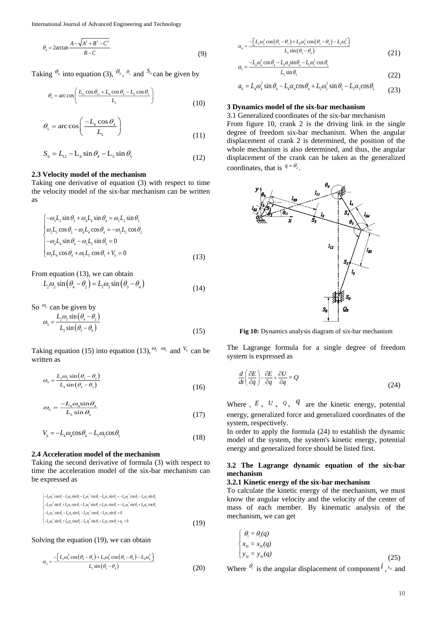International Journal of Advanced Engineering and Technology

$$
\theta_{4} = 2\arctan\frac{A - \sqrt{A^2 + B^2 - C^2}}{B - C}
$$
\n(9)

Taking  $\theta_4$  into equation (3),  $\theta_3$ ,  $\theta_5$  and  $S_6$  can be given by

$$
\theta_{3} = \arccos\left(\frac{L_{11}\cos\theta_{11} + L_{4}\cos\theta_{4} - L_{2}\cos\theta_{2}}{L_{3}}\right)
$$
\n(10)

$$
\theta_{\rm s} = \arccos\left(\frac{-L_4 \cos \theta_4}{L_5}\right) \tag{11}
$$

$$
S_6 = L_{12} - L_4 \sin \theta_4 - L_5 \sin \theta_5
$$
 (12)

#### **2.3 Velocity model of the mechanism**

Taking one derivative of equation (3) with respect to time the velocity model of the six-bar mechanism can be written as

$$
\begin{cases}\n-\omega_3 L_3 \sin \theta_3 + \omega_4 L_4 \sin \theta_4 = \omega_2 L_2 \sin \theta_2 \\
\omega_3 L_3 \cos \theta_3 - \omega_4 L_4 \cos \theta_4 = -\omega_2 L_2 \cos \theta_2 \\
-\omega_4 L_4 \sin \theta_4 - \omega_5 L_5 \sin \theta_5 = 0 \\
\omega_4 L_4 \cos \theta_4 + \omega_5 L_5 \cos \theta_5 + V_6 = 0\n\end{cases}
$$
\n(13)

From equation (13), we can obtain

$$
L_2 \omega_2 \sin(\theta_4 - \theta_2) = L_3 \omega_3 \sin(\theta_3 - \theta_4)
$$
\n(14)

So 
$$
\omega_3
$$
 can be given by  
\n
$$
\omega_3 = \frac{L_2 \omega_2 \sin(\theta_4 - \theta_2)}{L_3 \sin(\theta_3 - \theta_4)}
$$
\n(15)

Taking equation (15) into equation (13),  $\mathcal{O}_3$   $\mathcal{O}_5$  and  $\mathcal{V}_6$  can be written as

$$
\omega_4 = \frac{L_2 \omega_2 \sin(\theta_2 - \theta_3)}{L_4 \sin(\theta_4 - \theta_3)}
$$
(16)

$$
\omega_s = \frac{-L_4 \omega_4 \sin \theta_4}{L_5 \sin \theta_5} \tag{17}
$$

$$
V_6 = -L_4 \omega_4 \cos \theta_4 - L_5 \omega_5 \cos \theta_5 \tag{18}
$$

### **2.4 Acceleration model of the mechanism**

Taking the second derivative of formula (3) with respect to time the acceleration model of the six-bar mechanism can be expressed as

$$
\begin{array}{l}\n\left[-L_1 \omega_3^2 \cos \theta_3 - L_1 \alpha_5 \sin \theta_3 - L_2 \omega_3^2 \cos \theta_2 - L_2 \alpha_5 \sin \theta_3 = -L_1 \omega_4^2 \cos \theta_4 - L_4 \alpha_4 \sin \theta_4\n\right. \\
\left. -L_5 \omega_3^2 \sin \theta_3 + L_5 \alpha_5 \cos \theta_3 - L_2 \omega_2^2 \sin \theta_2 + L_2 \alpha_2 \cos \theta_2 = -L_4 \omega_4^2 \sin \theta_4 + L_4 \alpha_4 \cos \theta_4\n\right. \\
\left. -L_6 \omega_4^2 \cos \theta_4 - L_4 \alpha_4 \sin \theta_4 - L_5 \omega_5^2 \cos \theta_5 - L_4 \alpha_5 \sin \theta_5 = 0\n\right. \\
\left. -L_6 \omega_4^2 \sin \theta_4 + L_4 \alpha_4 \cos \theta_4 - L_5 \omega_5^2 \sin \theta_5 + L_5 \alpha_5 \cos \theta_5 + \alpha_6 = 0\n\right.\n\end{array} \tag{19}
$$

#### Solving the equation (19), we can obtain

$$
\alpha_{s} = \frac{-\left[L_{2}\omega_{2}^{2}\cos\left(\theta_{4}-\theta_{2}\right)+L_{3}\omega_{3}^{2}\cos\left(\theta_{3}-\theta_{4}\right)-L_{4}\omega_{4}^{2}\right]}{L_{s}\sin\left(\theta_{3}-\theta_{4}\right)}
$$
(20)

$$
\alpha_4 = \frac{-\left[L_2 \omega_2^2 \cos\left(\theta_3 - \theta_2\right) + L_4 \omega_4^2 \cos\left(\theta_3 - \theta_4\right) - L_5 \omega_3^2\right]}{L_4 \sin\left(\theta_3 - \theta_4\right)}\tag{21}
$$

$$
\alpha_{5} = \frac{-L_{4}\omega_{4}^{2}\cos\theta_{4} - L_{4}\alpha_{4}\sin\theta_{4} - L_{5}\omega_{5}^{2}\cos\theta_{5}}{L_{5}\sin\theta_{5}}
$$
(22)

$$
a_6 = L_4 \omega_4^2 \sin \theta_4 - L_4 \alpha_4 \cos \theta_4 + L_5 \omega_5^2 \sin \theta_5 - L_5 \alpha_5 \cos \theta_5 \tag{23}
$$

#### **3 Dynamics model of the six-bar mechanism**

3.1 Generalized coordinates of the six-bar mechanism From figure 10, crank 2 is the driving link in the single degree of freedom six-bar mechanism. When the angular displacement of crank 2 is determined, the position of the whole mechanism is also determined, and thus, the angular displacement of the crank can be taken as the generalized coordinates, that is  $q = \theta_2$ .



**Fig 10:** Dynamics analysis diagram of six-bar mechanism

The Lagrange formula for a single degree of freedom system is expressed as

$$
\frac{d}{dt}\left(\frac{\partial E}{\partial \dot{q}}\right) - \frac{\partial E}{\partial q} + \frac{\partial U}{\partial q} = Q\tag{24}
$$

Where,  $E$ ,  $U$ ,  $Q$ ,  $q$  are the kinetic energy, potential energy, generalized force and generalized coordinates of the system, respectively.

In order to apply the formula (24) to establish the dynamic model of the system, the system's kinetic energy, potential energy and generalized force should be listed first.

### **3.2 The Lagrange dynamic equation of the six-bar mechanism**

#### **3.2.1 Kinetic energy of the six-bar mechanism**

To calculate the kinetic energy of the mechanism, we must know the angular velocity and the velocity of the center of mass of each member. By kinematic analysis of the mechanism, we can get

$$
\begin{cases}\n\theta_i = \theta_i(q) \\
x_{Si} = x_{Si}(q) \\
y_{Si} = y_{Si}(q)\n\end{cases}
$$
\n(25)

Where  $\theta_i$  is the angular displacement of component  $\hat{i}$ ,  $x_s$  and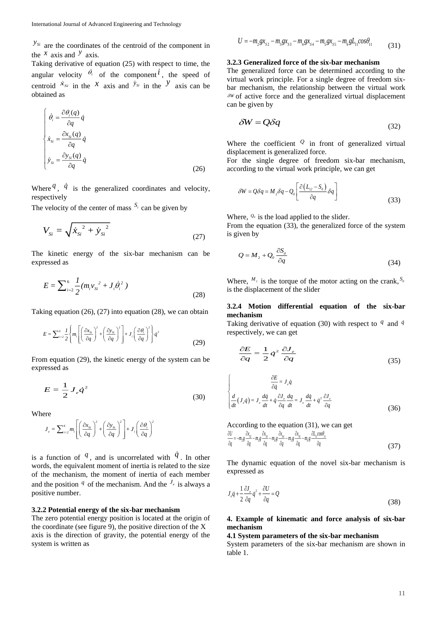$y_{si}$  are the coordinates of the centroid of the component in the  $x$  axis and  $y$  axis.

Taking derivative of equation (25) with respect to time, the angular velocity  $\dot{\theta}_i$  of the component i, the speed of centroid  $\dot{x}_{si}$  in the *x* axis and  $\dot{y}_{si}$  in the *y* axis can be obtained as

$$
\begin{cases}\n\dot{\theta}_i = \frac{\partial \theta_i(q)}{\partial q} \dot{q} \\
\dot{x}_{Si} = \frac{\partial x_{Si}(q)}{\partial q} \dot{q} \\
\dot{y}_{Si} = \frac{\partial y_{Si}(q)}{\partial q} \dot{q}\n\end{cases}
$$
\n(26)

Where  $\{q, q\}$  is the generalized coordinates and velocity, respectively

The velocity of the center of mass  $S_i$  can be given by

$$
V_{Si} = \sqrt{\dot{x}_{Si}^2 + \dot{y}_{Si}^2}
$$
 (27)

The kinetic energy of the six-bar mechanism can be expressed as

$$
E = \sum_{i=2}^{6} \frac{1}{2} (m_i v_{si}^2 + J_i \dot{\theta}_i^2)
$$
 (28)

Taking equation (26), (27) into equation (28), we can obtain

$$
E = \sum_{i=2}^{6} \frac{1}{2} \left\{ m_i \left[ \left( \frac{\partial x_{si}}{\partial q} \right)^2 + \left( \frac{\partial y_{si}}{\partial q} \right)^2 \right] + J_i \left( \frac{\partial \theta_i}{\partial q} \right)^2 \right\} \dot{q}^2 \tag{29}
$$

From equation (29), the kinetic energy of the system can be expressed as

$$
E = \frac{1}{2} J_e \dot{q}^2 \tag{30}
$$

Where

$$
J_e = \sum_{i=2}^{6} m_i \left[ \left( \frac{\partial x_{si}}{\partial q} \right)^2 + \left( \frac{\partial y_{si}}{\partial q} \right)^2 \right] + J_i \left( \frac{\partial \theta_i}{\partial q} \right)^2
$$

is a function of  $q$ , and is uncorrelated with  $q$ . In other words, the equivalent moment of inertia is related to the size of the mechanism, the moment of inertia of each member and the position  $q$  of the mechanism. And the  $J_e$  is always a positive number.

#### **3.2.2 Potential energy of the six-bar mechanism**

The zero potential energy position is located at the origin of the coordinate (see figure 9), the positive direction of the  $X$ axis is the direction of gravity, the potential energy of the system is written as

$$
U = -m_2 g x_{s2} - m_3 g x_{s3} - m_4 g x_{s4} - m_5 g x_{s5} - m_6 g L_{11} cos \theta_{11}
$$
 (31)

#### **3.2.3 Generalized force of the six-bar mechanism**

The generalized force can be determined according to the virtual work principle. For a single degree of freedom sixbar mechanism, the relationship between the virtual work  $\delta^W$  of active force and the generalized virtual displacement can be given by

$$
\delta W = Q \delta q \tag{32}
$$

Where the coefficient  $\mathcal{Q}$  in front of generalized virtual displacement is generalized force.

For the single degree of freedom six-bar mechanism, according to the virtual work principle, we can get

$$
\delta W = Q \delta q = M_2 \delta q - Q_0 \left[ \frac{\partial (L_{12} - S_0)}{\partial q} \delta q \right]
$$
\n(33)

Where,  $\mathcal{Q}_0$  is the load applied to the slider.

From the equation (33), the generalized force of the system is given by

$$
Q = M_2 + Q_0 \frac{\partial S_0}{\partial q}
$$
 (34)

Where,  $^{M_2}$  is the torque of the motor acting on the crank,  $^{S_0}$ is the displacement of the slider

### **3.2.4 Motion differential equation of the six-bar mechanism**

Taking derivative of equation (30) with respect to  $q$  and  $\dot{q}$ respectively, we can get

$$
\frac{\partial E}{\partial q} = \frac{1}{2} \dot{q}^2 \frac{\partial J_e}{\partial q} \tag{35}
$$

$$
\begin{cases}\n\frac{\partial E}{\partial \dot{q}} = J_c \dot{q} \\
\frac{d}{dt}(J_c \dot{q}) = J_c \frac{d\dot{q}}{dt} + \dot{q} \frac{\partial J_c}{\partial q} \frac{dq}{dt} = J_c \frac{d\dot{q}}{dt} + \dot{q}^2 \frac{\partial J_c}{\partial q}\n\end{cases}
$$
\n(36)

According to the equation (31), we can get

$$
\frac{\partial U}{\partial q} = -m_g g \frac{\partial x_{g2}}{\partial q} - m_g g \frac{\partial x_{g3}}{\partial q} - m_g g \frac{\partial x_{g4}}{\partial q} - m_g g \frac{\partial x_{g5}}{\partial q} - m_g g \frac{\partial L_{\mu} \cos \theta_{\mu}}{\partial q} \tag{37}
$$

The dynamic equation of the novel six-bar mechanism is expressed as

$$
J_{\epsilon}\ddot{q} + \frac{1}{2}\frac{\partial J_{\epsilon}}{\partial q}\dot{q}^{2} + \frac{\partial U}{\partial q} = Q
$$
\n(38)

### **4. Example of kinematic and force analysis of six-bar mechanism**

#### **4.1 System parameters of the six-bar mechanism**

System parameters of the six-bar mechanism are shown in table 1.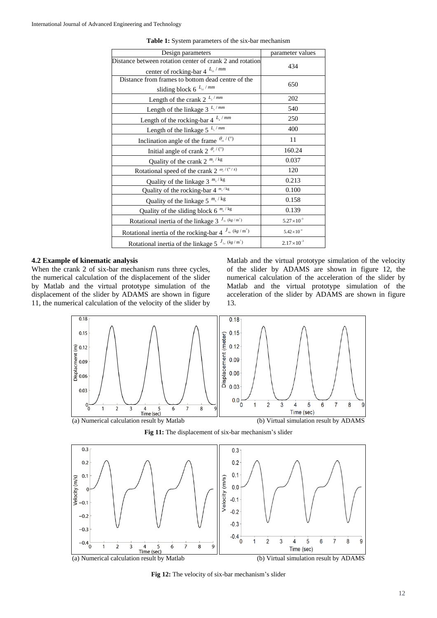| Design parameters                                                     | parameter values      |
|-----------------------------------------------------------------------|-----------------------|
| Distance between rotation center of crank 2 and rotation              | 434                   |
| center of rocking-bar 4 $L_{11}/mm$                                   |                       |
| Distance from frames to bottom dead centre of the                     | 650                   |
| sliding block 6 $L_{12}$ /mm                                          |                       |
| Length of the crank 2 $L_2/mm$                                        | 202                   |
| Length of the linkage 3 $L_s$ /mm                                     | 540                   |
| Length of the rocking-bar $4^{L_4/mm}$                                | 250                   |
| Length of the linkage 5 $L_s$ /mm                                     | 400                   |
| Inclination angle of the frame $\theta_{11}/(°)$                      | 11                    |
| Initial angle of crank 2 $\frac{\theta_2}{\theta_2}$                  | 160.24                |
| Quality of the crank 2 $^{m_2 / kg}$                                  | 0.037                 |
| Rotational speed of the crank 2 $\frac{\omega_2}{\sqrt{2}}$           | 120                   |
| Quality of the linkage 3 $^{m_3 / kg}$                                | 0.213                 |
| Quality of the rocking-bar $4^{m_x/kg}$                               | 0.100                 |
| Quality of the linkage 5 $^{m_s / kg}$                                | 0.158                 |
| Quality of the sliding block 6 $^{m_{6}/kg}$                          | 0.139                 |
| Rotational inertia of the linkage 3 $J_{3c}$ (kg/m <sup>2</sup> )     | $5.27 \times 10^{-3}$ |
| Rotational inertia of the rocking-bar 4 $J_{4c}$ (kg/m <sup>2</sup> ) | $5.42 \times 10^{-4}$ |
| Rotational inertia of the linkage 5 $^{J_{s_c}(kg/m^2)}$              | $2.17 \times 10^{-3}$ |
|                                                                       |                       |

**Table 1:** System parameters of the six-bar mechanism

## **4.2 Example of kinematic analysis**

When the crank 2 of six-bar mechanism runs three cycles, the numerical calculation of the displacement of the slider by Matlab and the virtual prototype simulation of the displacement of the slider by ADAMS are shown in figure 11, the numerical calculation of the velocity of the slider by Matlab and the virtual prototype simulation of the velocity of the slider by ADAMS are shown in figure 12, the numerical calculation of the acceleration of the slider by Matlab and the virtual prototype simulation of the acceleration of the slider by ADAMS are shown in figure 13.







**Fig 12:** The velocity of six-bar mechanism's slider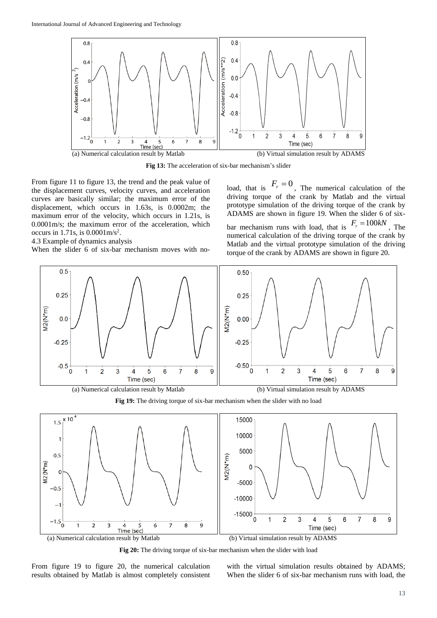

**Fig 13:** The acceleration of six-bar mechanism's slider

From figure 11 to figure 13, the trend and the peak value of the displacement curves, velocity curves, and acceleration curves are basically similar; the maximum error of the displacement, which occurs in 1.63s, is 0.0002m; the maximum error of the velocity, which occurs in 1.21s, is 0.0001m/s; the maximum error of the acceleration, which occurs in 1.71s, is  $0.0001 \text{m/s}^2$ .

#### 4.3 Example of dynamics analysis

When the slider 6 of six-bar mechanism moves with no-

load, that is  $F_r = 0$ , The numerical calculation of the driving torque of the crank by Matlab and the virtual prototype simulation of the driving torque of the crank by ADAMS are shown in figure 19. When the slider 6 of sixbar mechanism runs with load, that is  $F_r = 100kN$ , The numerical calculation of the driving torque of the crank by Matlab and the virtual prototype simulation of the driving torque of the crank by ADAMS are shown in figure 20.



**Fig 19:** The driving torque of six-bar mechanism when the slider with no load



**Fig 20:** The driving torque of six-bar mechanism when the slider with load

From figure 19 to figure 20, the numerical calculation results obtained by Matlab is almost completely consistent with the virtual simulation results obtained by ADAMS; When the slider 6 of six-bar mechanism runs with load, the